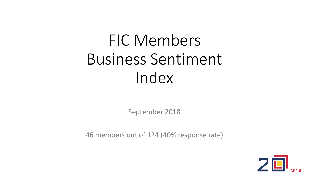### FIC Members Business Sentiment Index

September 2018

46 members out of 124 (40% response rate)

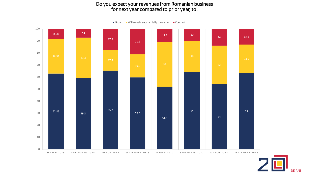#### Do you expect your revenues from Romanian business for next year compared to prior year, to:

62.85 59.3 65.2 59.6 51.9 64 54 63 28.57 33.3 19.2 37 8.58 7.4 17.3 21.2 11.2 10 14 13.1 0 10 20 30 40 50 60 70 80 90 100 MARCH 2015 SEPTEMBER 2015 MARCH 2016 SEPTEMBER 2016 MARCH 2017 SEPTEMBER 2018 SEPTEMBER 2018  $\Box$  Grow  $\Box$  Will remain substantially the same  $\Box$  Contract

DE ANI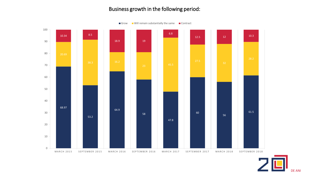#### Business growth in the following period:

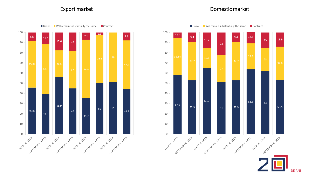#### Export market **Export market Export market**





DE ANI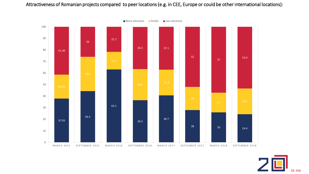Attractiveness of Romanian projects compared to peer locations (e.g. in CEE, Europe or could be other international locations):



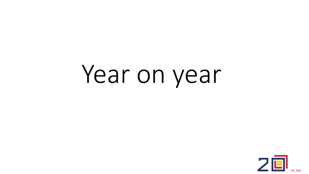## Year on year

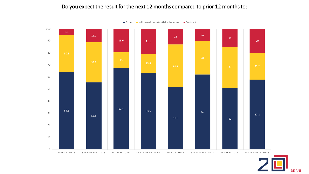### Do you expect the result for the next 12 months compared to prior 12 months to:



 $\Box$  Grow  $\Box$  Will remain substantially the same  $\Box$  Contract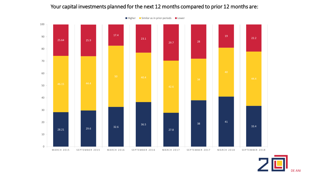#### Your capital investments planned for the next 12 months compared to prior 12 months are:



■ Higher ■ Similar as in prior periods ■ Lower

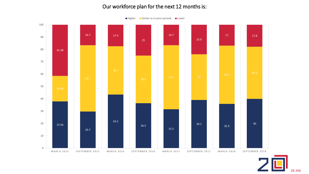#### Our workforce plan for the next 12 months is:

37.93 29.7 43.5 36.5 31.5 39.1 35.9 40 51.9 37 41.38 16.7 17.4 25 16.7 23.9 17 17.8 0 10 20 30 40 50 60 70 80 90 100 MARCH 2015 SEPTEMBER 2015 MARCH 2016 SEPTEMBER 2016 MARCH 2017 SEPTEMBER 2017 MARCH 2018 SEPTEMBER 2018



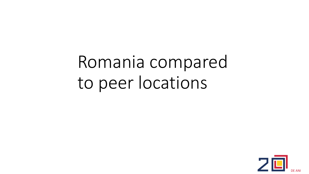Romania compared to peer locations

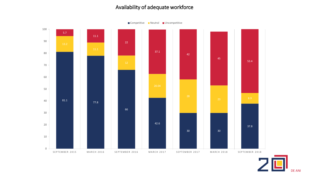#### Availability of adequate workforce



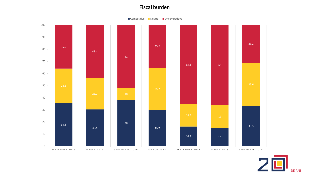#### Fiscal burden



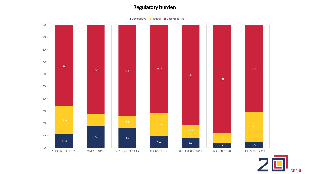#### Regulatory burden



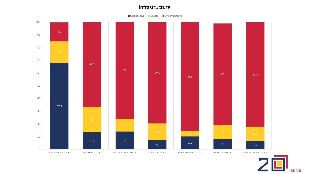#### Infrastructure



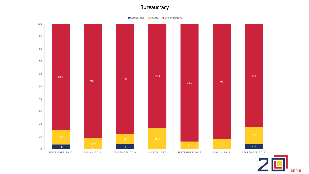#### **Bureaucracy**



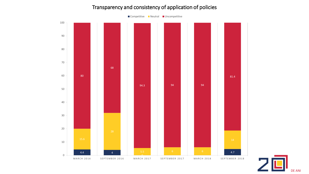#### Transparency and consistency of application of policies



DE ANI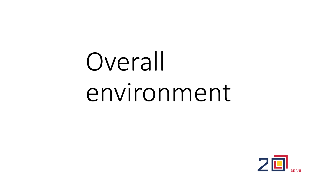# Overall environment

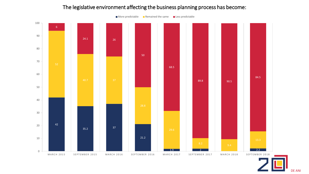#### The legislative environment affecting the business planning process has become:



 $\blacksquare$  More predictable  $\blacksquare$  Remained the same  $\blacksquare$  Less predictable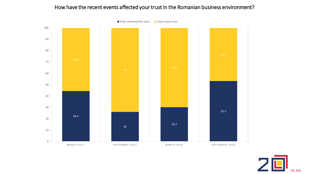#### How have the recent events affected your trust in the Romanian business environment?